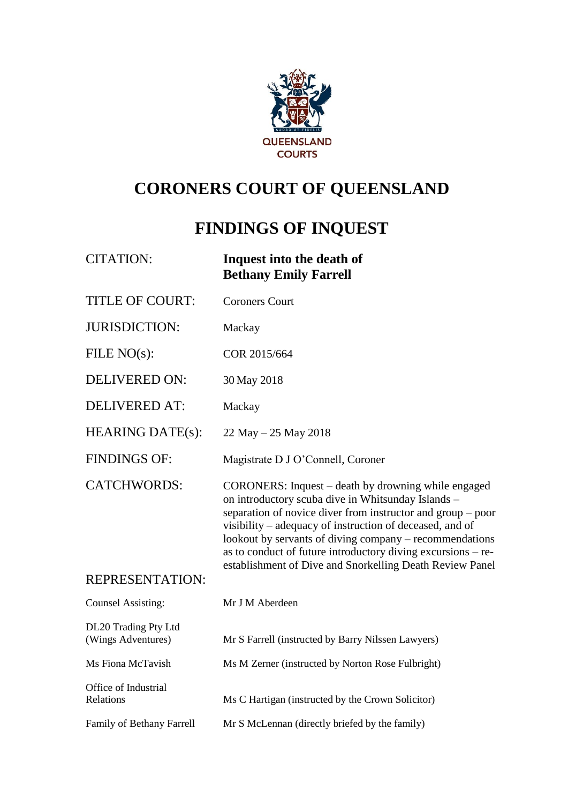

# **CORONERS COURT OF QUEENSLAND**

# **FINDINGS OF INQUEST**

| <b>CITATION:</b>                           | Inquest into the death of<br><b>Bethany Emily Farrell</b>                                                                                                                                                                                                                                                                                                                                                                   |
|--------------------------------------------|-----------------------------------------------------------------------------------------------------------------------------------------------------------------------------------------------------------------------------------------------------------------------------------------------------------------------------------------------------------------------------------------------------------------------------|
| <b>TITLE OF COURT:</b>                     | <b>Coroners Court</b>                                                                                                                                                                                                                                                                                                                                                                                                       |
| <b>JURISDICTION:</b>                       | Mackay                                                                                                                                                                                                                                                                                                                                                                                                                      |
| FILE $NO(s)$ :                             | COR 2015/664                                                                                                                                                                                                                                                                                                                                                                                                                |
| <b>DELIVERED ON:</b>                       | 30 May 2018                                                                                                                                                                                                                                                                                                                                                                                                                 |
| <b>DELIVERED AT:</b>                       | Mackay                                                                                                                                                                                                                                                                                                                                                                                                                      |
| <b>HEARING DATE(s):</b>                    | $22$ May $- 25$ May 2018                                                                                                                                                                                                                                                                                                                                                                                                    |
| <b>FINDINGS OF:</b>                        | Magistrate D J O'Connell, Coroner                                                                                                                                                                                                                                                                                                                                                                                           |
| <b>CATCHWORDS:</b>                         | CORONERS: Inquest – death by drowning while engaged<br>on introductory scuba dive in Whitsunday Islands -<br>separation of novice diver from instructor and group – poor<br>visibility – adequacy of instruction of deceased, and of<br>lookout by servants of diving company – recommendations<br>as to conduct of future introductory diving excursions - re-<br>establishment of Dive and Snorkelling Death Review Panel |
| <b>REPRESENTATION:</b>                     |                                                                                                                                                                                                                                                                                                                                                                                                                             |
| <b>Counsel Assisting:</b>                  | Mr J M Aberdeen                                                                                                                                                                                                                                                                                                                                                                                                             |
| DL20 Trading Pty Ltd<br>(Wings Adventures) | Mr S Farrell (instructed by Barry Nilssen Lawyers)                                                                                                                                                                                                                                                                                                                                                                          |
| Ms Fiona McTavish                          | Ms M Zerner (instructed by Norton Rose Fulbright)                                                                                                                                                                                                                                                                                                                                                                           |
| Office of Industrial<br>Relations          | Ms C Hartigan (instructed by the Crown Solicitor)                                                                                                                                                                                                                                                                                                                                                                           |
| Family of Bethany Farrell                  | Mr S McLennan (directly briefed by the family)                                                                                                                                                                                                                                                                                                                                                                              |
|                                            |                                                                                                                                                                                                                                                                                                                                                                                                                             |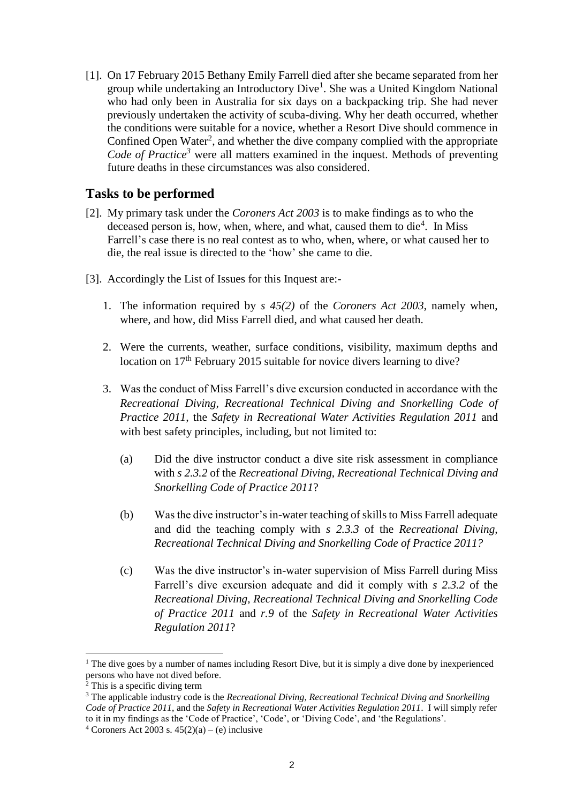[1]. On 17 February 2015 Bethany Emily Farrell died after she became separated from her group while undertaking an Introductory Dive<sup>1</sup>. She was a United Kingdom National who had only been in Australia for six days on a backpacking trip. She had never previously undertaken the activity of scuba-diving. Why her death occurred, whether the conditions were suitable for a novice, whether a Resort Dive should commence in Confined Open Water<sup>2</sup>, and whether the dive company complied with the appropriate *Code of Practice<sup>3</sup>* were all matters examined in the inquest. Methods of preventing future deaths in these circumstances was also considered.

## **Tasks to be performed**

- [2]. My primary task under the *Coroners Act 2003* is to make findings as to who the deceased person is, how, when, where, and what, caused them to die<sup>4</sup>. In Miss Farrell's case there is no real contest as to who, when, where, or what caused her to die, the real issue is directed to the 'how' she came to die.
- [3]. Accordingly the List of Issues for this Inquest are:-
	- 1. The information required by *s 45(2)* of the *Coroners Act 2003*, namely when, where, and how, did Miss Farrell died, and what caused her death.
	- 2. Were the currents, weather, surface conditions, visibility, maximum depths and location on 17<sup>th</sup> February 2015 suitable for novice divers learning to dive?
	- 3. Was the conduct of Miss Farrell's dive excursion conducted in accordance with the *Recreational Diving, Recreational Technical Diving and Snorkelling Code of Practice 2011,* the *Safety in Recreational Water Activities Regulation 2011* and with best safety principles, including, but not limited to:
		- (a) Did the dive instructor conduct a dive site risk assessment in compliance with *s 2.3.2* of the *Recreational Diving, Recreational Technical Diving and Snorkelling Code of Practice 2011*?
		- (b) Was the dive instructor's in-water teaching of skills to Miss Farrell adequate and did the teaching comply with *s 2.3.3* of the *Recreational Diving, Recreational Technical Diving and Snorkelling Code of Practice 2011?*
		- (c) Was the dive instructor's in-water supervision of Miss Farrell during Miss Farrell's dive excursion adequate and did it comply with *s 2.3.2* of the *Recreational Diving, Recreational Technical Diving and Snorkelling Code of Practice 2011* and *r.9* of the *Safety in Recreational Water Activities Regulation 2011*?

<sup>&</sup>lt;sup>1</sup> The dive goes by a number of names including Resort Dive, but it is simply a dive done by inexperienced persons who have not dived before.

 $\frac{1}{2}$  This is a specific diving term

<sup>3</sup> The applicable industry code is the *Recreational Diving, Recreational Technical Diving and Snorkelling Code of Practice 2011*, and the *Safety in Recreational Water Activities Regulation 2011*. I will simply refer to it in my findings as the 'Code of Practice', 'Code', or 'Diving Code', and 'the Regulations'. <sup>4</sup> Coroners Act 2003 s.  $45(2)(a) - (e)$  inclusive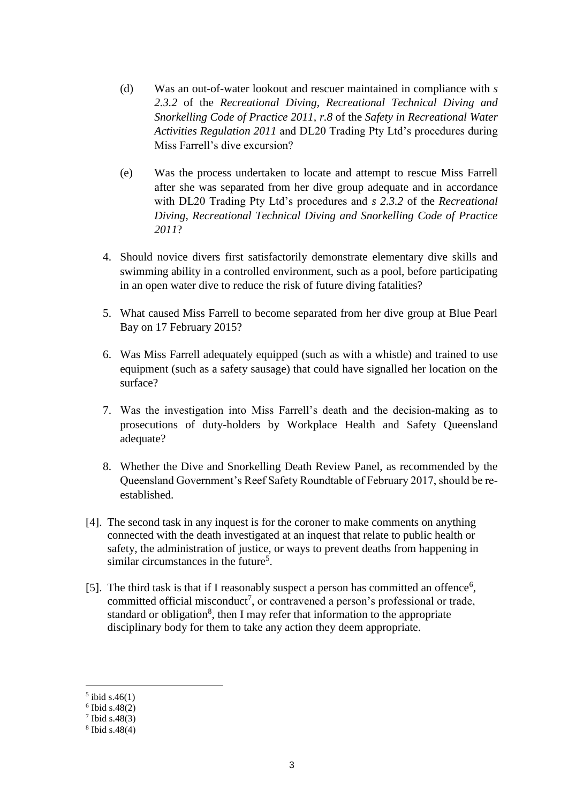- (d) Was an out-of-water lookout and rescuer maintained in compliance with *s 2.3.2* of the *Recreational Diving, Recreational Technical Diving and Snorkelling Code of Practice 2011, r.8* of the *Safety in Recreational Water Activities Regulation 2011* and DL20 Trading Pty Ltd's procedures during Miss Farrell's dive excursion?
- (e) Was the process undertaken to locate and attempt to rescue Miss Farrell after she was separated from her dive group adequate and in accordance with DL20 Trading Pty Ltd's procedures and *s 2.3.2* of the *Recreational Diving, Recreational Technical Diving and Snorkelling Code of Practice 2011*?
- 4. Should novice divers first satisfactorily demonstrate elementary dive skills and swimming ability in a controlled environment, such as a pool, before participating in an open water dive to reduce the risk of future diving fatalities?
- 5. What caused Miss Farrell to become separated from her dive group at Blue Pearl Bay on 17 February 2015?
- 6. Was Miss Farrell adequately equipped (such as with a whistle) and trained to use equipment (such as a safety sausage) that could have signalled her location on the surface?
- 7. Was the investigation into Miss Farrell's death and the decision-making as to prosecutions of duty-holders by Workplace Health and Safety Queensland adequate?
- 8. Whether the Dive and Snorkelling Death Review Panel, as recommended by the Queensland Government's Reef Safety Roundtable of February 2017, should be reestablished.
- [4]. The second task in any inquest is for the coroner to make comments on anything connected with the death investigated at an inquest that relate to public health or safety, the administration of justice, or ways to prevent deaths from happening in similar circumstances in the future<sup>5</sup>.
- [5]. The third task is that if I reasonably suspect a person has committed an offence<sup>6</sup>, committed official misconduct<sup>7</sup>, or contravened a person's professional or trade, standard or obligation<sup>8</sup>, then I may refer that information to the appropriate disciplinary body for them to take any action they deem appropriate.

 $5$  ibid s.46(1)

<sup>6</sup> Ibid s.48(2)

 $7$  Ibid s.48(3)

<sup>8</sup> Ibid s.48(4)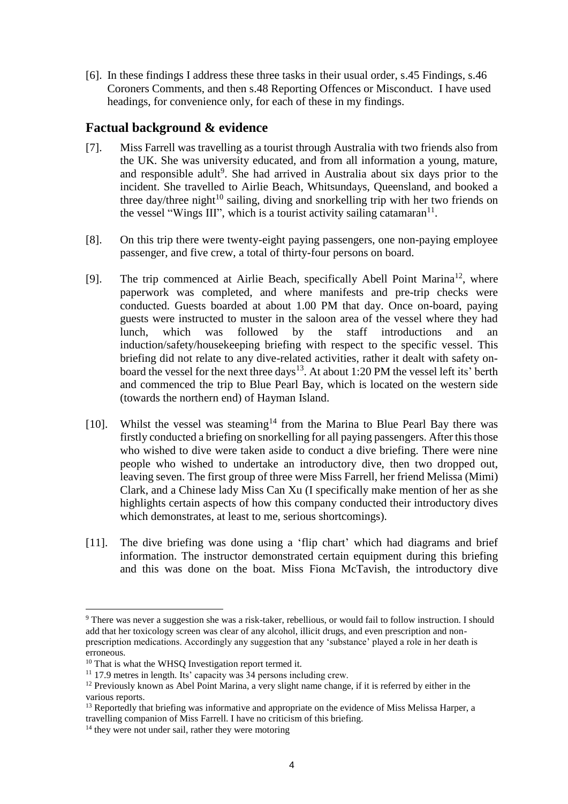[6]. In these findings I address these three tasks in their usual order, s.45 Findings, s.46 Coroners Comments, and then s.48 Reporting Offences or Misconduct. I have used headings, for convenience only, for each of these in my findings.

# **Factual background & evidence**

- [7]. Miss Farrell was travelling as a tourist through Australia with two friends also from the UK. She was university educated, and from all information a young, mature, and responsible adult<sup>9</sup>. She had arrived in Australia about six days prior to the incident. She travelled to Airlie Beach, Whitsundays, Queensland, and booked a three day/three night<sup>10</sup> sailing, diving and snorkelling trip with her two friends on the vessel "Wings III", which is a tourist activity sailing catamaran $11$ .
- [8]. On this trip there were twenty-eight paying passengers, one non-paying employee passenger, and five crew, a total of thirty-four persons on board.
- [9]. The trip commenced at Airlie Beach, specifically Abell Point Marina<sup>12</sup>, where paperwork was completed, and where manifests and pre-trip checks were conducted. Guests boarded at about 1.00 PM that day. Once on-board, paying guests were instructed to muster in the saloon area of the vessel where they had lunch, which was followed by the staff introductions and induction/safety/housekeeping briefing with respect to the specific vessel. This briefing did not relate to any dive-related activities, rather it dealt with safety onboard the vessel for the next three days<sup>13</sup>. At about 1:20 PM the vessel left its' berth and commenced the trip to Blue Pearl Bay, which is located on the western side (towards the northern end) of Hayman Island.
- [10]. Whilst the vessel was steaming<sup>14</sup> from the Marina to Blue Pearl Bay there was firstly conducted a briefing on snorkelling for all paying passengers. After this those who wished to dive were taken aside to conduct a dive briefing. There were nine people who wished to undertake an introductory dive, then two dropped out, leaving seven. The first group of three were Miss Farrell, her friend Melissa (Mimi) Clark, and a Chinese lady Miss Can Xu (I specifically make mention of her as she highlights certain aspects of how this company conducted their introductory dives which demonstrates, at least to me, serious shortcomings).
- [11]. The dive briefing was done using a 'flip chart' which had diagrams and brief information. The instructor demonstrated certain equipment during this briefing and this was done on the boat. Miss Fiona McTavish, the introductory dive

<sup>9</sup> There was never a suggestion she was a risk-taker, rebellious, or would fail to follow instruction. I should add that her toxicology screen was clear of any alcohol, illicit drugs, and even prescription and nonprescription medications. Accordingly any suggestion that any 'substance' played a role in her death is erroneous.

<sup>&</sup>lt;sup>10</sup> That is what the WHSQ Investigation report termed it.

<sup>&</sup>lt;sup>11</sup> 17.9 metres in length. Its' capacity was  $34$  persons including crew.

<sup>12</sup> Previously known as Abel Point Marina, a very slight name change, if it is referred by either in the various reports.

<sup>&</sup>lt;sup>13</sup> Reportedly that briefing was informative and appropriate on the evidence of Miss Melissa Harper, a travelling companion of Miss Farrell. I have no criticism of this briefing.

<sup>&</sup>lt;sup>14</sup> they were not under sail, rather they were motoring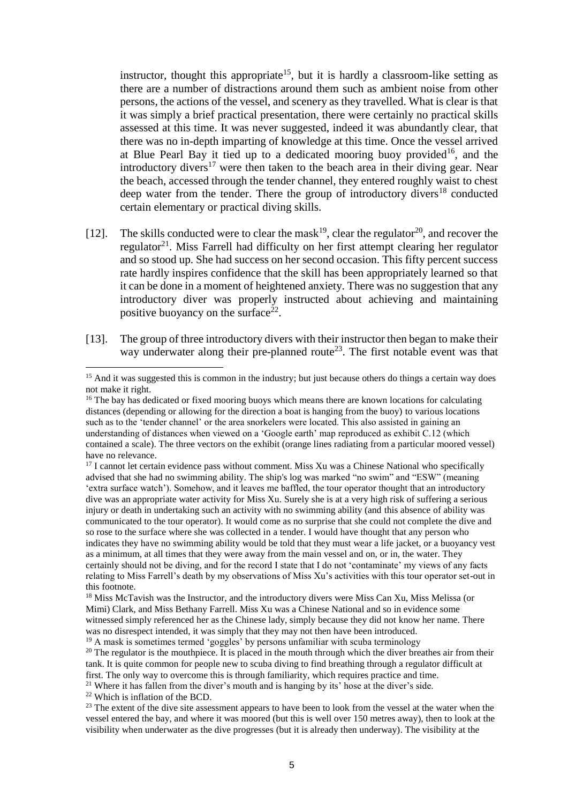instructor, thought this appropriate<sup>15</sup>, but it is hardly a classroom-like setting as there are a number of distractions around them such as ambient noise from other persons, the actions of the vessel, and scenery as they travelled. What is clear is that it was simply a brief practical presentation, there were certainly no practical skills assessed at this time. It was never suggested, indeed it was abundantly clear, that there was no in-depth imparting of knowledge at this time. Once the vessel arrived at Blue Pearl Bay it tied up to a dedicated mooring buoy provided<sup>16</sup>, and the introductory divers<sup>17</sup> were then taken to the beach area in their diving gear. Near the beach, accessed through the tender channel, they entered roughly waist to chest deep water from the tender. There the group of introductory divers<sup>18</sup> conducted certain elementary or practical diving skills.

- [12]. The skills conducted were to clear the mask<sup>19</sup>, clear the regulator<sup>20</sup>, and recover the regulator<sup>21</sup>. Miss Farrell had difficulty on her first attempt clearing her regulator and so stood up. She had success on her second occasion. This fifty percent success rate hardly inspires confidence that the skill has been appropriately learned so that it can be done in a moment of heightened anxiety. There was no suggestion that any introductory diver was properly instructed about achieving and maintaining positive buoyancy on the surface<sup>22</sup>.
- [13]. The group of three introductory divers with their instructor then began to make their way underwater along their pre-planned route<sup>23</sup>. The first notable event was that

 $17$  I cannot let certain evidence pass without comment. Miss Xu was a Chinese National who specifically advised that she had no swimming ability. The ship's log was marked "no swim" and "ESW" (meaning 'extra surface watch'). Somehow, and it leaves me baffled, the tour operator thought that an introductory dive was an appropriate water activity for Miss Xu. Surely she is at a very high risk of suffering a serious injury or death in undertaking such an activity with no swimming ability (and this absence of ability was communicated to the tour operator). It would come as no surprise that she could not complete the dive and so rose to the surface where she was collected in a tender. I would have thought that any person who indicates they have no swimming ability would be told that they must wear a life jacket, or a buoyancy vest as a minimum, at all times that they were away from the main vessel and on, or in, the water. They certainly should not be diving, and for the record I state that I do not 'contaminate' my views of any facts relating to Miss Farrell's death by my observations of Miss Xu's activities with this tour operator set-out in this footnote.

<sup>22</sup> Which is inflation of the BCD.

<sup>&</sup>lt;sup>15</sup> And it was suggested this is common in the industry; but just because others do things a certain way does not make it right.

<sup>&</sup>lt;sup>16</sup> The bay has dedicated or fixed mooring buoys which means there are known locations for calculating distances (depending or allowing for the direction a boat is hanging from the buoy) to various locations such as to the 'tender channel' or the area snorkelers were located. This also assisted in gaining an understanding of distances when viewed on a 'Google earth' map reproduced as exhibit C.12 (which contained a scale). The three vectors on the exhibit (orange lines radiating from a particular moored vessel) have no relevance.

<sup>&</sup>lt;sup>18</sup> Miss McTavish was the Instructor, and the introductory divers were Miss Can Xu, Miss Melissa (or Mimi) Clark, and Miss Bethany Farrell. Miss Xu was a Chinese National and so in evidence some witnessed simply referenced her as the Chinese lady, simply because they did not know her name. There was no disrespect intended, it was simply that they may not then have been introduced. <sup>19</sup> A mask is sometimes termed 'goggles' by persons unfamiliar with scuba terminology

<sup>&</sup>lt;sup>20</sup> The regulator is the mouthpiece. It is placed in the mouth through which the diver breathes air from their tank. It is quite common for people new to scuba diving to find breathing through a regulator difficult at first. The only way to overcome this is through familiarity, which requires practice and time. <sup>21</sup> Where it has fallen from the diver's mouth and is hanging by its' hose at the diver's side.

<sup>&</sup>lt;sup>23</sup> The extent of the dive site assessment appears to have been to look from the vessel at the water when the vessel entered the bay, and where it was moored (but this is well over 150 metres away), then to look at the visibility when underwater as the dive progresses (but it is already then underway). The visibility at the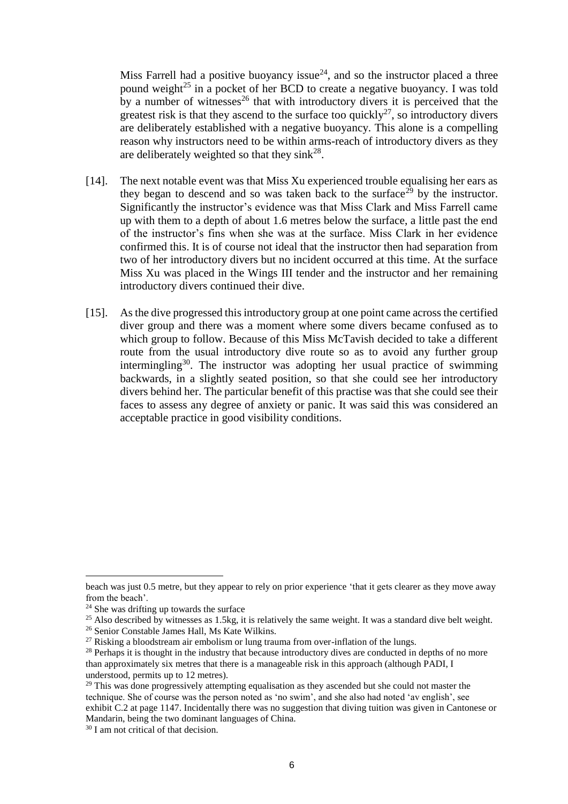Miss Farrell had a positive buoyancy issue $^{24}$ , and so the instructor placed a three pound weight<sup>25</sup> in a pocket of her BCD to create a negative buoyancy. I was told by a number of witnesses<sup>26</sup> that with introductory divers it is perceived that the greatest risk is that they ascend to the surface too quickly<sup>27</sup>, so introductory divers are deliberately established with a negative buoyancy. This alone is a compelling reason why instructors need to be within arms-reach of introductory divers as they are deliberately weighted so that they  $\sin k^{28}$ .

- [14]. The next notable event was that Miss Xu experienced trouble equalising her ears as they began to descend and so was taken back to the surface<sup>29</sup> by the instructor. Significantly the instructor's evidence was that Miss Clark and Miss Farrell came up with them to a depth of about 1.6 metres below the surface, a little past the end of the instructor's fins when she was at the surface. Miss Clark in her evidence confirmed this. It is of course not ideal that the instructor then had separation from two of her introductory divers but no incident occurred at this time. At the surface Miss Xu was placed in the Wings III tender and the instructor and her remaining introductory divers continued their dive.
- [15]. As the dive progressed this introductory group at one point came across the certified diver group and there was a moment where some divers became confused as to which group to follow. Because of this Miss McTavish decided to take a different route from the usual introductory dive route so as to avoid any further group intermingling<sup>30</sup>. The instructor was adopting her usual practice of swimming backwards, in a slightly seated position, so that she could see her introductory divers behind her. The particular benefit of this practise was that she could see their faces to assess any degree of anxiety or panic. It was said this was considered an acceptable practice in good visibility conditions.

beach was just 0.5 metre, but they appear to rely on prior experience 'that it gets clearer as they move away from the beach'.

 $24$  She was drifting up towards the surface

<sup>&</sup>lt;sup>25</sup> Also described by witnesses as 1.5kg, it is relatively the same weight. It was a standard dive belt weight.

<sup>26</sup> Senior Constable James Hall, Ms Kate Wilkins.

 $27$  Risking a bloodstream air embolism or lung trauma from over-inflation of the lungs.

<sup>&</sup>lt;sup>28</sup> Perhaps it is thought in the industry that because introductory dives are conducted in depths of no more than approximately six metres that there is a manageable risk in this approach (although PADI, I understood, permits up to 12 metres).

 $29$  This was done progressively attempting equalisation as they ascended but she could not master the technique. She of course was the person noted as 'no swim', and she also had noted 'av english', see exhibit C.2 at page 1147. Incidentally there was no suggestion that diving tuition was given in Cantonese or Mandarin, being the two dominant languages of China.

<sup>30</sup> I am not critical of that decision.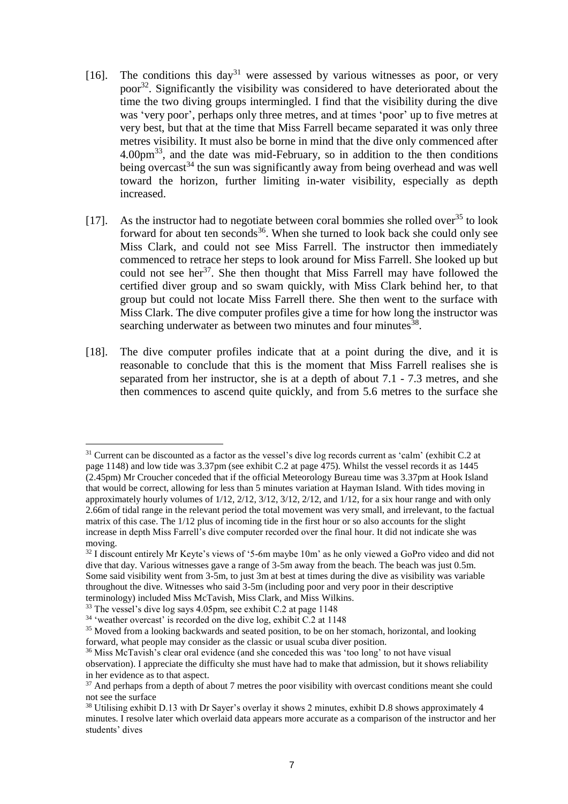- [16]. The conditions this day<sup>31</sup> were assessed by various witnesses as poor, or very poor<sup>32</sup>. Significantly the visibility was considered to have deteriorated about the time the two diving groups intermingled. I find that the visibility during the dive was 'very poor', perhaps only three metres, and at times 'poor' up to five metres at very best, but that at the time that Miss Farrell became separated it was only three metres visibility. It must also be borne in mind that the dive only commenced after 4.00pm<sup>33</sup>, and the date was mid-February, so in addition to the then conditions being overcast<sup>34</sup> the sun was significantly away from being overhead and was well toward the horizon, further limiting in-water visibility, especially as depth increased.
- [17]. As the instructor had to negotiate between coral bommies she rolled over<sup>35</sup> to look forward for about ten seconds<sup>36</sup>. When she turned to look back she could only see Miss Clark, and could not see Miss Farrell. The instructor then immediately commenced to retrace her steps to look around for Miss Farrell. She looked up but could not see her<sup>37</sup>. She then thought that Miss Farrell may have followed the certified diver group and so swam quickly, with Miss Clark behind her, to that group but could not locate Miss Farrell there. She then went to the surface with Miss Clark. The dive computer profiles give a time for how long the instructor was searching underwater as between two minutes and four minutes<sup>38</sup>.
- [18]. The dive computer profiles indicate that at a point during the dive, and it is reasonable to conclude that this is the moment that Miss Farrell realises she is separated from her instructor, she is at a depth of about 7.1 - 7.3 metres, and she then commences to ascend quite quickly, and from 5.6 metres to the surface she

 $\overline{a}$ <sup>31</sup> Current can be discounted as a factor as the vessel's dive log records current as 'calm' (exhibit C.2 at page 1148) and low tide was 3.37pm (see exhibit C.2 at page 475). Whilst the vessel records it as 1445 (2.45pm) Mr Croucher conceded that if the official Meteorology Bureau time was 3.37pm at Hook Island that would be correct, allowing for less than 5 minutes variation at Hayman Island. With tides moving in approximately hourly volumes of 1/12, 2/12, 3/12, 3/12, 2/12, and 1/12, for a six hour range and with only 2.66m of tidal range in the relevant period the total movement was very small, and irrelevant, to the factual matrix of this case. The 1/12 plus of incoming tide in the first hour or so also accounts for the slight increase in depth Miss Farrell's dive computer recorded over the final hour. It did not indicate she was moving.

<sup>&</sup>lt;sup>32</sup> I discount entirely Mr Keyte's views of '5-6m maybe 10m' as he only viewed a GoPro video and did not dive that day. Various witnesses gave a range of 3-5m away from the beach. The beach was just 0.5m. Some said visibility went from 3-5m, to just 3m at best at times during the dive as visibility was variable throughout the dive. Witnesses who said 3-5m (including poor and very poor in their descriptive terminology) included Miss McTavish, Miss Clark, and Miss Wilkins.

<sup>33</sup> The vessel's dive log says 4.05pm, see exhibit C.2 at page 1148

<sup>&</sup>lt;sup>34</sup> 'weather overcast' is recorded on the dive log, exhibit C.2 at 1148

<sup>&</sup>lt;sup>35</sup> Moved from a looking backwards and seated position, to be on her stomach, horizontal, and looking forward, what people may consider as the classic or usual scuba diver position.

<sup>&</sup>lt;sup>36</sup> Miss McTavish's clear oral evidence (and she conceded this was 'too long' to not have visual observation). I appreciate the difficulty she must have had to make that admission, but it shows reliability in her evidence as to that aspect.

<sup>&</sup>lt;sup>37</sup> And perhaps from a depth of about 7 metres the poor visibility with overcast conditions meant she could not see the surface

<sup>&</sup>lt;sup>38</sup> Utilising exhibit D.13 with Dr Sayer's overlay it shows 2 minutes, exhibit D.8 shows approximately 4 minutes. I resolve later which overlaid data appears more accurate as a comparison of the instructor and her students' dives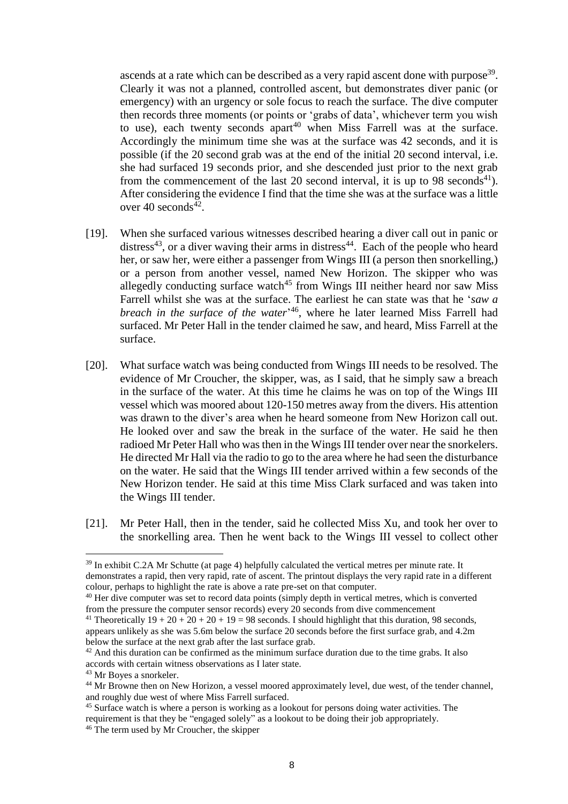ascends at a rate which can be described as a very rapid ascent done with purpose<sup>39</sup>. Clearly it was not a planned, controlled ascent, but demonstrates diver panic (or emergency) with an urgency or sole focus to reach the surface. The dive computer then records three moments (or points or 'grabs of data', whichever term you wish to use), each twenty seconds apart<sup>40</sup> when Miss Farrell was at the surface. Accordingly the minimum time she was at the surface was 42 seconds, and it is possible (if the 20 second grab was at the end of the initial 20 second interval, i.e. she had surfaced 19 seconds prior, and she descended just prior to the next grab from the commencement of the last 20 second interval, it is up to 98 seconds<sup>41</sup>). After considering the evidence I find that the time she was at the surface was a little over 40 seconds $42$ .

- [19]. When she surfaced various witnesses described hearing a diver call out in panic or distress<sup>43</sup>, or a diver waving their arms in distress<sup>44</sup>. Each of the people who heard her, or saw her, were either a passenger from Wings III (a person then snorkelling,) or a person from another vessel, named New Horizon. The skipper who was allegedly conducting surface watch<sup>45</sup> from Wings III neither heard nor saw Miss Farrell whilst she was at the surface. The earliest he can state was that he '*saw a breach in the surface of the water*' <sup>46</sup>, where he later learned Miss Farrell had surfaced. Mr Peter Hall in the tender claimed he saw, and heard, Miss Farrell at the surface.
- [20]. What surface watch was being conducted from Wings III needs to be resolved. The evidence of Mr Croucher, the skipper, was, as I said, that he simply saw a breach in the surface of the water. At this time he claims he was on top of the Wings III vessel which was moored about 120-150 metres away from the divers. His attention was drawn to the diver's area when he heard someone from New Horizon call out. He looked over and saw the break in the surface of the water. He said he then radioed Mr Peter Hall who was then in the Wings III tender over near the snorkelers. He directed Mr Hall via the radio to go to the area where he had seen the disturbance on the water. He said that the Wings III tender arrived within a few seconds of the New Horizon tender. He said at this time Miss Clark surfaced and was taken into the Wings III tender.
- [21]. Mr Peter Hall, then in the tender, said he collected Miss Xu, and took her over to the snorkelling area. Then he went back to the Wings III vessel to collect other

<sup>&</sup>lt;sup>39</sup> In exhibit C.2A Mr Schutte (at page 4) helpfully calculated the vertical metres per minute rate. It demonstrates a rapid, then very rapid, rate of ascent. The printout displays the very rapid rate in a different colour, perhaps to highlight the rate is above a rate pre-set on that computer.

<sup>&</sup>lt;sup>40</sup> Her dive computer was set to record data points (simply depth in vertical metres, which is converted from the pressure the computer sensor records) every 20 seconds from dive commencement

<sup>&</sup>lt;sup>41</sup> Theoretically  $19 + 20 + 20 + 20 + 19 = 98$  seconds. I should highlight that this duration, 98 seconds, appears unlikely as she was 5.6m below the surface 20 seconds before the first surface grab, and 4.2m below the surface at the next grab after the last surface grab.

 $42$  And this duration can be confirmed as the minimum surface duration due to the time grabs. It also accords with certain witness observations as I later state.

<sup>43</sup> Mr Boyes a snorkeler.

<sup>44</sup> Mr Browne then on New Horizon, a vessel moored approximately level, due west, of the tender channel, and roughly due west of where Miss Farrell surfaced.

<sup>45</sup> Surface watch is where a person is working as a lookout for persons doing water activities. The requirement is that they be "engaged solely" as a lookout to be doing their job appropriately. <sup>46</sup> The term used by Mr Croucher, the skipper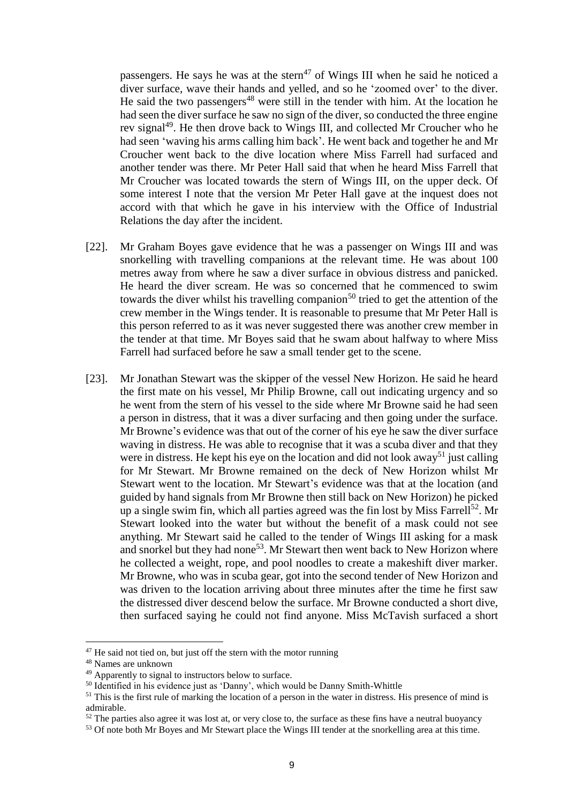passengers. He says he was at the stern<sup>47</sup> of Wings III when he said he noticed a diver surface, wave their hands and yelled, and so he 'zoomed over' to the diver. He said the two passengers<sup>48</sup> were still in the tender with him. At the location he had seen the diver surface he saw no sign of the diver, so conducted the three engine rev signal<sup>49</sup>. He then drove back to Wings III, and collected Mr Croucher who he had seen 'waving his arms calling him back'. He went back and together he and Mr Croucher went back to the dive location where Miss Farrell had surfaced and another tender was there. Mr Peter Hall said that when he heard Miss Farrell that Mr Croucher was located towards the stern of Wings III, on the upper deck. Of some interest I note that the version Mr Peter Hall gave at the inquest does not accord with that which he gave in his interview with the Office of Industrial Relations the day after the incident.

- [22]. Mr Graham Boyes gave evidence that he was a passenger on Wings III and was snorkelling with travelling companions at the relevant time. He was about 100 metres away from where he saw a diver surface in obvious distress and panicked. He heard the diver scream. He was so concerned that he commenced to swim towards the diver whilst his travelling companion<sup>50</sup> tried to get the attention of the crew member in the Wings tender. It is reasonable to presume that Mr Peter Hall is this person referred to as it was never suggested there was another crew member in the tender at that time. Mr Boyes said that he swam about halfway to where Miss Farrell had surfaced before he saw a small tender get to the scene.
- [23]. Mr Jonathan Stewart was the skipper of the vessel New Horizon. He said he heard the first mate on his vessel, Mr Philip Browne, call out indicating urgency and so he went from the stern of his vessel to the side where Mr Browne said he had seen a person in distress, that it was a diver surfacing and then going under the surface. Mr Browne's evidence was that out of the corner of his eye he saw the diver surface waving in distress. He was able to recognise that it was a scuba diver and that they were in distress. He kept his eye on the location and did not look away<sup>51</sup> just calling for Mr Stewart. Mr Browne remained on the deck of New Horizon whilst Mr Stewart went to the location. Mr Stewart's evidence was that at the location (and guided by hand signals from Mr Browne then still back on New Horizon) he picked up a single swim fin, which all parties agreed was the fin lost by Miss Farrell<sup>52</sup>. Mr Stewart looked into the water but without the benefit of a mask could not see anything. Mr Stewart said he called to the tender of Wings III asking for a mask and snorkel but they had none<sup>53</sup>. Mr Stewart then went back to New Horizon where he collected a weight, rope, and pool noodles to create a makeshift diver marker. Mr Browne, who was in scuba gear, got into the second tender of New Horizon and was driven to the location arriving about three minutes after the time he first saw the distressed diver descend below the surface. Mr Browne conducted a short dive, then surfaced saying he could not find anyone. Miss McTavish surfaced a short

 $47$  He said not tied on, but just off the stern with the motor running

<sup>48</sup> Names are unknown

<sup>49</sup> Apparently to signal to instructors below to surface.

<sup>&</sup>lt;sup>50</sup> Identified in his evidence just as 'Danny', which would be Danny Smith-Whittle

<sup>&</sup>lt;sup>51</sup> This is the first rule of marking the location of a person in the water in distress. His presence of mind is admirable.

 $52$  The parties also agree it was lost at, or very close to, the surface as these fins have a neutral buoyancy

<sup>&</sup>lt;sup>53</sup> Of note both Mr Boyes and Mr Stewart place the Wings III tender at the snorkelling area at this time.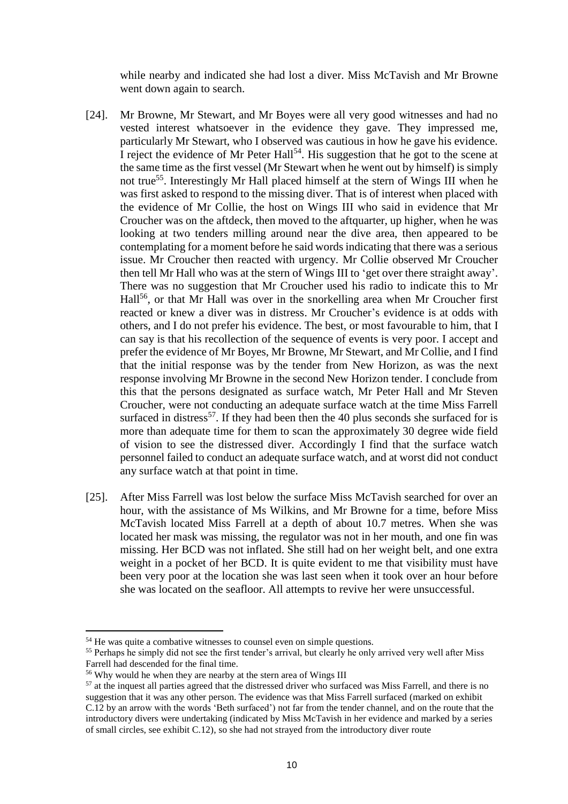while nearby and indicated she had lost a diver. Miss McTavish and Mr Browne went down again to search.

- [24]. Mr Browne, Mr Stewart, and Mr Boyes were all very good witnesses and had no vested interest whatsoever in the evidence they gave. They impressed me, particularly Mr Stewart, who I observed was cautious in how he gave his evidence. I reject the evidence of Mr Peter Hall<sup>54</sup>. His suggestion that he got to the scene at the same time as the first vessel (Mr Stewart when he went out by himself) is simply not true<sup>55</sup>. Interestingly Mr Hall placed himself at the stern of Wings III when he was first asked to respond to the missing diver. That is of interest when placed with the evidence of Mr Collie, the host on Wings III who said in evidence that Mr Croucher was on the aftdeck, then moved to the aftquarter, up higher, when he was looking at two tenders milling around near the dive area, then appeared to be contemplating for a moment before he said words indicating that there was a serious issue. Mr Croucher then reacted with urgency. Mr Collie observed Mr Croucher then tell Mr Hall who was at the stern of Wings III to 'get over there straight away'. There was no suggestion that Mr Croucher used his radio to indicate this to Mr Hall<sup>56</sup>, or that Mr Hall was over in the snorkelling area when Mr Croucher first reacted or knew a diver was in distress. Mr Croucher's evidence is at odds with others, and I do not prefer his evidence. The best, or most favourable to him, that I can say is that his recollection of the sequence of events is very poor. I accept and prefer the evidence of Mr Boyes, Mr Browne, Mr Stewart, and Mr Collie, and I find that the initial response was by the tender from New Horizon, as was the next response involving Mr Browne in the second New Horizon tender. I conclude from this that the persons designated as surface watch, Mr Peter Hall and Mr Steven Croucher, were not conducting an adequate surface watch at the time Miss Farrell surfaced in distress<sup>57</sup>. If they had been then the 40 plus seconds she surfaced for is more than adequate time for them to scan the approximately 30 degree wide field of vision to see the distressed diver. Accordingly I find that the surface watch personnel failed to conduct an adequate surface watch, and at worst did not conduct any surface watch at that point in time.
- [25]. After Miss Farrell was lost below the surface Miss McTavish searched for over an hour, with the assistance of Ms Wilkins, and Mr Browne for a time, before Miss McTavish located Miss Farrell at a depth of about 10.7 metres. When she was located her mask was missing, the regulator was not in her mouth, and one fin was missing. Her BCD was not inflated. She still had on her weight belt, and one extra weight in a pocket of her BCD. It is quite evident to me that visibility must have been very poor at the location she was last seen when it took over an hour before she was located on the seafloor. All attempts to revive her were unsuccessful.

<sup>&</sup>lt;sup>54</sup> He was quite a combative witnesses to counsel even on simple questions.

<sup>&</sup>lt;sup>55</sup> Perhaps he simply did not see the first tender's arrival, but clearly he only arrived very well after Miss Farrell had descended for the final time.

<sup>56</sup> Why would he when they are nearby at the stern area of Wings III

<sup>&</sup>lt;sup>57</sup> at the inquest all parties agreed that the distressed driver who surfaced was Miss Farrell, and there is no suggestion that it was any other person. The evidence was that Miss Farrell surfaced (marked on exhibit C.12 by an arrow with the words 'Beth surfaced') not far from the tender channel, and on the route that the introductory divers were undertaking (indicated by Miss McTavish in her evidence and marked by a series of small circles, see exhibit C.12), so she had not strayed from the introductory diver route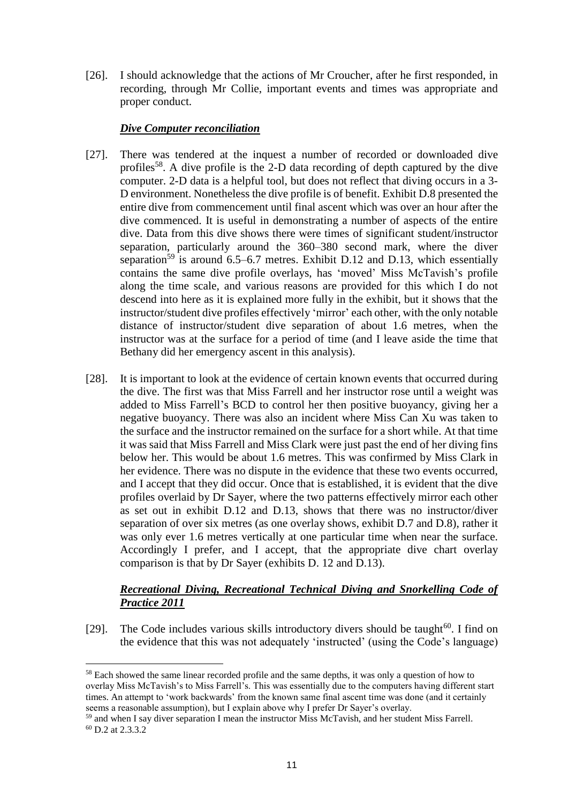[26]. I should acknowledge that the actions of Mr Croucher, after he first responded, in recording, through Mr Collie, important events and times was appropriate and proper conduct.

### *Dive Computer reconciliation*

- [27]. There was tendered at the inquest a number of recorded or downloaded dive profiles<sup>58</sup>. A dive profile is the 2-D data recording of depth captured by the dive computer. 2-D data is a helpful tool, but does not reflect that diving occurs in a 3- D environment. Nonetheless the dive profile is of benefit. Exhibit D.8 presented the entire dive from commencement until final ascent which was over an hour after the dive commenced. It is useful in demonstrating a number of aspects of the entire dive. Data from this dive shows there were times of significant student/instructor separation, particularly around the 360–380 second mark, where the diver separation<sup>59</sup> is around 6.5–6.7 metres. Exhibit D.12 and D.13, which essentially contains the same dive profile overlays, has 'moved' Miss McTavish's profile along the time scale, and various reasons are provided for this which I do not descend into here as it is explained more fully in the exhibit, but it shows that the instructor/student dive profiles effectively 'mirror' each other, with the only notable distance of instructor/student dive separation of about 1.6 metres, when the instructor was at the surface for a period of time (and I leave aside the time that Bethany did her emergency ascent in this analysis).
- [28]. It is important to look at the evidence of certain known events that occurred during the dive. The first was that Miss Farrell and her instructor rose until a weight was added to Miss Farrell's BCD to control her then positive buoyancy, giving her a negative buoyancy. There was also an incident where Miss Can Xu was taken to the surface and the instructor remained on the surface for a short while. At that time it was said that Miss Farrell and Miss Clark were just past the end of her diving fins below her. This would be about 1.6 metres. This was confirmed by Miss Clark in her evidence. There was no dispute in the evidence that these two events occurred, and I accept that they did occur. Once that is established, it is evident that the dive profiles overlaid by Dr Sayer, where the two patterns effectively mirror each other as set out in exhibit D.12 and D.13, shows that there was no instructor/diver separation of over six metres (as one overlay shows, exhibit D.7 and D.8), rather it was only ever 1.6 metres vertically at one particular time when near the surface. Accordingly I prefer, and I accept, that the appropriate dive chart overlay comparison is that by Dr Sayer (exhibits D. 12 and D.13).

## *Recreational Diving, Recreational Technical Diving and Snorkelling Code of Practice 2011*

[29]. The Code includes various skills introductory divers should be taught<sup>60</sup>. I find on the evidence that this was not adequately 'instructed' (using the Code's language)

<sup>&</sup>lt;sup>58</sup> Each showed the same linear recorded profile and the same depths, it was only a question of how to overlay Miss McTavish's to Miss Farrell's. This was essentially due to the computers having different start times. An attempt to 'work backwards' from the known same final ascent time was done (and it certainly seems a reasonable assumption), but I explain above why I prefer Dr Sayer's overlay.

<sup>59</sup> and when I say diver separation I mean the instructor Miss McTavish, and her student Miss Farrell. <sup>60</sup> D.2 at 2.3.3.2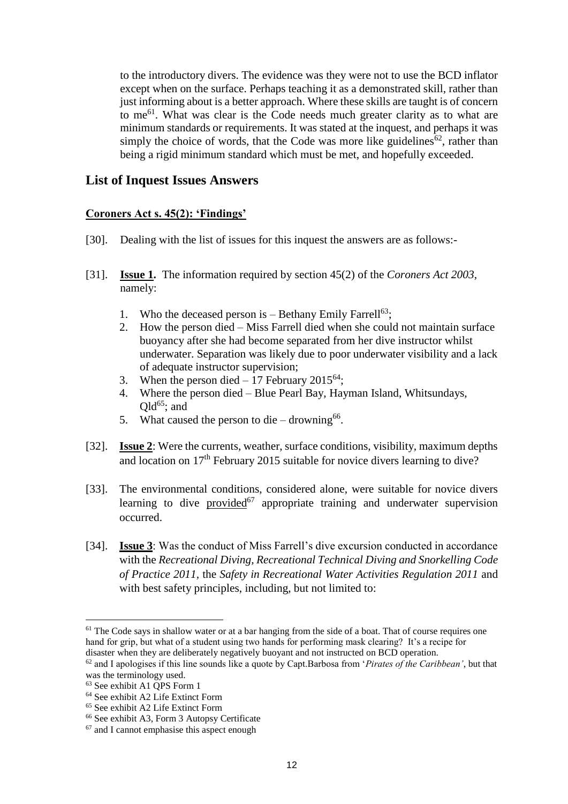to the introductory divers. The evidence was they were not to use the BCD inflator except when on the surface. Perhaps teaching it as a demonstrated skill, rather than just informing about is a better approach. Where these skills are taught is of concern to me<sup>61</sup>. What was clear is the Code needs much greater clarity as to what are minimum standards or requirements. It was stated at the inquest, and perhaps it was simply the choice of words, that the Code was more like guidelines<sup>62</sup>, rather than being a rigid minimum standard which must be met, and hopefully exceeded.

## **List of Inquest Issues Answers**

### **Coroners Act s. 45(2): 'Findings'**

- [30]. Dealing with the list of issues for this inquest the answers are as follows:-
- [31]. **Issue 1.** The information required by section 45(2) of the *Coroners Act 2003*, namely:
	- 1. Who the deceased person is  $-$  Bethany Emily Farrell<sup>63</sup>;
	- 2. How the person died Miss Farrell died when she could not maintain surface buoyancy after she had become separated from her dive instructor whilst underwater. Separation was likely due to poor underwater visibility and a lack of adequate instructor supervision;
	- 3. When the person died  $-17$  February 2015<sup>64</sup>:
	- 4. Where the person died Blue Pearl Bay, Hayman Island, Whitsundays,  $Qld^{65}$ ; and
	- 5. What caused the person to die  $-$  drowning<sup>66</sup>.
- [32]. **Issue 2**: Were the currents, weather, surface conditions, visibility, maximum depths and location on  $17<sup>th</sup>$  February 2015 suitable for novice divers learning to dive?
- [33]. The environmental conditions, considered alone, were suitable for novice divers learning to dive provided<sup>67</sup> appropriate training and underwater supervision occurred.
- [34]. **Issue 3**: Was the conduct of Miss Farrell's dive excursion conducted in accordance with the *Recreational Diving, Recreational Technical Diving and Snorkelling Code of Practice 2011,* the *Safety in Recreational Water Activities Regulation 2011* and with best safety principles, including, but not limited to:

 $<sup>61</sup>$  The Code says in shallow water or at a bar hanging from the side of a boat. That of course requires one</sup> hand for grip, but what of a student using two hands for performing mask clearing? It's a recipe for disaster when they are deliberately negatively buoyant and not instructed on BCD operation.

<sup>62</sup> and I apologises if this line sounds like a quote by Capt.Barbosa from '*Pirates of the Caribbean'*, but that was the terminology used.

<sup>63</sup> See exhibit A1 QPS Form 1

<sup>64</sup> See exhibit A2 Life Extinct Form

<sup>65</sup> See exhibit A2 Life Extinct Form

<sup>66</sup> See exhibit A3, Form 3 Autopsy Certificate

<sup>67</sup> and I cannot emphasise this aspect enough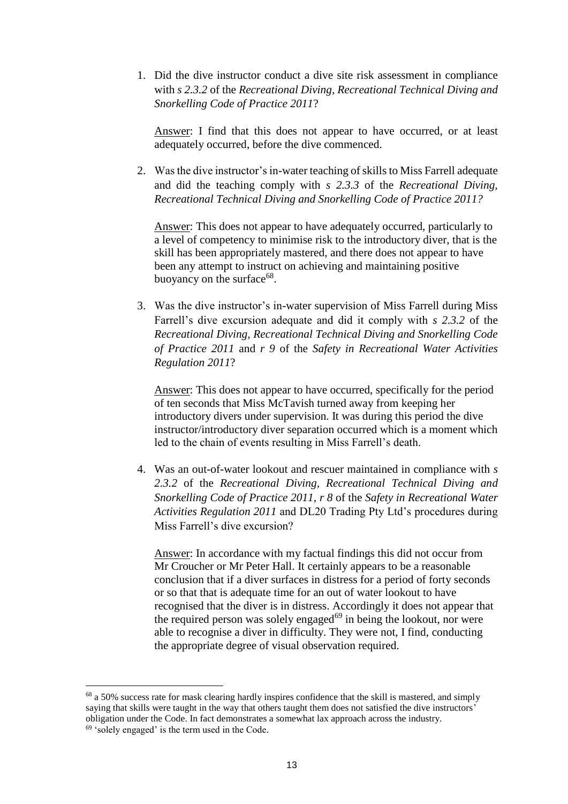1. Did the dive instructor conduct a dive site risk assessment in compliance with *s 2.3.2* of the *Recreational Diving, Recreational Technical Diving and Snorkelling Code of Practice 2011*?

Answer: I find that this does not appear to have occurred, or at least adequately occurred, before the dive commenced.

2. Was the dive instructor's in-water teaching of skills to Miss Farrell adequate and did the teaching comply with *s 2.3.3* of the *Recreational Diving, Recreational Technical Diving and Snorkelling Code of Practice 2011?* 

Answer: This does not appear to have adequately occurred, particularly to a level of competency to minimise risk to the introductory diver, that is the skill has been appropriately mastered, and there does not appear to have been any attempt to instruct on achieving and maintaining positive buoyancy on the surface<sup>68</sup>.

3. Was the dive instructor's in-water supervision of Miss Farrell during Miss Farrell's dive excursion adequate and did it comply with *s 2.3.2* of the *Recreational Diving, Recreational Technical Diving and Snorkelling Code of Practice 2011* and *r 9* of the *Safety in Recreational Water Activities Regulation 2011*?

Answer: This does not appear to have occurred, specifically for the period of ten seconds that Miss McTavish turned away from keeping her introductory divers under supervision. It was during this period the dive instructor/introductory diver separation occurred which is a moment which led to the chain of events resulting in Miss Farrell's death.

4. Was an out-of-water lookout and rescuer maintained in compliance with *s 2.3.2* of the *Recreational Diving, Recreational Technical Diving and Snorkelling Code of Practice 2011, r 8* of the *Safety in Recreational Water Activities Regulation 2011* and DL20 Trading Pty Ltd's procedures during Miss Farrell's dive excursion?

Answer: In accordance with my factual findings this did not occur from Mr Croucher or Mr Peter Hall. It certainly appears to be a reasonable conclusion that if a diver surfaces in distress for a period of forty seconds or so that that is adequate time for an out of water lookout to have recognised that the diver is in distress. Accordingly it does not appear that the required person was solely engaged $69$  in being the lookout, nor were able to recognise a diver in difficulty. They were not, I find, conducting the appropriate degree of visual observation required.

<sup>&</sup>lt;sup>68</sup> a 50% success rate for mask clearing hardly inspires confidence that the skill is mastered, and simply saying that skills were taught in the way that others taught them does not satisfied the dive instructors' obligation under the Code. In fact demonstrates a somewhat lax approach across the industry.  $69$  'solely engaged' is the term used in the Code.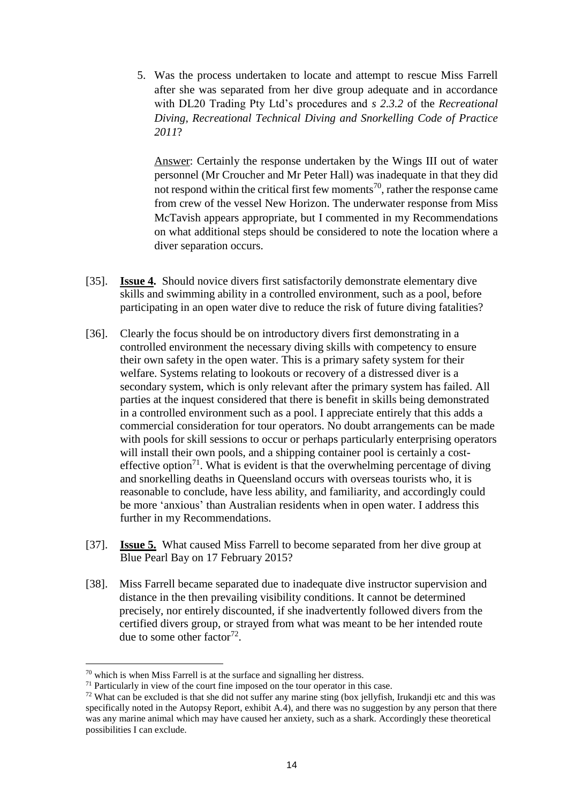5. Was the process undertaken to locate and attempt to rescue Miss Farrell after she was separated from her dive group adequate and in accordance with DL20 Trading Pty Ltd's procedures and *s 2.3.2* of the *Recreational Diving, Recreational Technical Diving and Snorkelling Code of Practice 2011*?

Answer: Certainly the response undertaken by the Wings III out of water personnel (Mr Croucher and Mr Peter Hall) was inadequate in that they did not respond within the critical first few moments<sup>70</sup>, rather the response came from crew of the vessel New Horizon. The underwater response from Miss McTavish appears appropriate, but I commented in my Recommendations on what additional steps should be considered to note the location where a diver separation occurs.

- [35]. **Issue 4.** Should novice divers first satisfactorily demonstrate elementary dive skills and swimming ability in a controlled environment, such as a pool, before participating in an open water dive to reduce the risk of future diving fatalities?
- [36]. Clearly the focus should be on introductory divers first demonstrating in a controlled environment the necessary diving skills with competency to ensure their own safety in the open water. This is a primary safety system for their welfare. Systems relating to lookouts or recovery of a distressed diver is a secondary system, which is only relevant after the primary system has failed. All parties at the inquest considered that there is benefit in skills being demonstrated in a controlled environment such as a pool. I appreciate entirely that this adds a commercial consideration for tour operators. No doubt arrangements can be made with pools for skill sessions to occur or perhaps particularly enterprising operators will install their own pools, and a shipping container pool is certainly a costeffective option<sup>71</sup>. What is evident is that the overwhelming percentage of diving and snorkelling deaths in Queensland occurs with overseas tourists who, it is reasonable to conclude, have less ability, and familiarity, and accordingly could be more 'anxious' than Australian residents when in open water. I address this further in my Recommendations.
- [37]. **Issue 5.** What caused Miss Farrell to become separated from her dive group at Blue Pearl Bay on 17 February 2015?
- [38]. Miss Farrell became separated due to inadequate dive instructor supervision and distance in the then prevailing visibility conditions. It cannot be determined precisely, nor entirely discounted, if she inadvertently followed divers from the certified divers group, or strayed from what was meant to be her intended route due to some other factor<sup>72</sup>.

 $70$  which is when Miss Farrell is at the surface and signalling her distress.

<sup>&</sup>lt;sup>71</sup> Particularly in view of the court fine imposed on the tour operator in this case.

 $72$  What can be excluded is that she did not suffer any marine sting (box jellyfish, Irukandji etc and this was specifically noted in the Autopsy Report, exhibit A.4), and there was no suggestion by any person that there was any marine animal which may have caused her anxiety, such as a shark. Accordingly these theoretical possibilities I can exclude.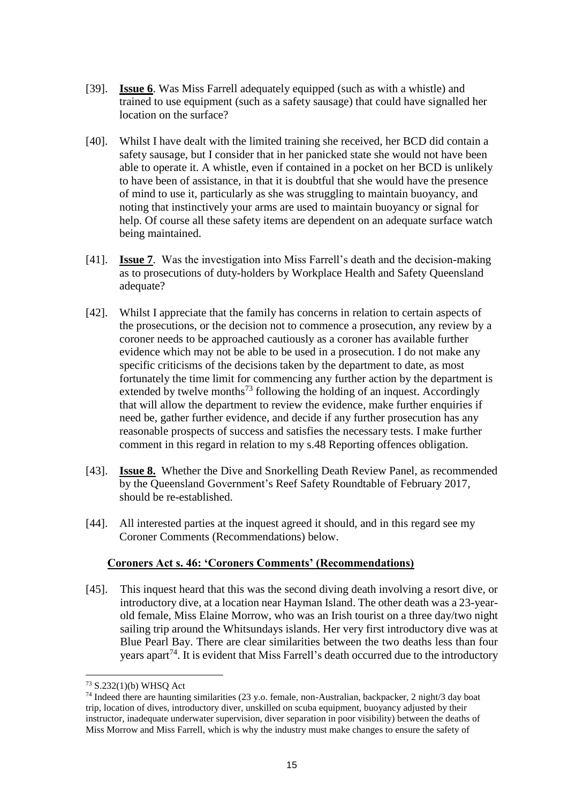- [39]. **Issue 6**. Was Miss Farrell adequately equipped (such as with a whistle) and trained to use equipment (such as a safety sausage) that could have signalled her location on the surface?
- [40]. Whilst I have dealt with the limited training she received, her BCD did contain a safety sausage, but I consider that in her panicked state she would not have been able to operate it. A whistle, even if contained in a pocket on her BCD is unlikely to have been of assistance, in that it is doubtful that she would have the presence of mind to use it, particularly as she was struggling to maintain buoyancy, and noting that instinctively your arms are used to maintain buoyancy or signal for help. Of course all these safety items are dependent on an adequate surface watch being maintained.
- [41]. **Issue 7**. Was the investigation into Miss Farrell's death and the decision-making as to prosecutions of duty-holders by Workplace Health and Safety Queensland adequate?
- [42]. Whilst I appreciate that the family has concerns in relation to certain aspects of the prosecutions, or the decision not to commence a prosecution, any review by a coroner needs to be approached cautiously as a coroner has available further evidence which may not be able to be used in a prosecution. I do not make any specific criticisms of the decisions taken by the department to date, as most fortunately the time limit for commencing any further action by the department is extended by twelve months<sup>73</sup> following the holding of an inquest. Accordingly that will allow the department to review the evidence, make further enquiries if need be, gather further evidence, and decide if any further prosecution has any reasonable prospects of success and satisfies the necessary tests. I make further comment in this regard in relation to my s.48 Reporting offences obligation.
- [43]. **Issue 8.** Whether the Dive and Snorkelling Death Review Panel, as recommended by the Queensland Government's Reef Safety Roundtable of February 2017, should be re-established.
- [44]. All interested parties at the inquest agreed it should, and in this regard see my Coroner Comments (Recommendations) below.

### **Coroners Act s. 46: 'Coroners Comments' (Recommendations)**

[45]. This inquest heard that this was the second diving death involving a resort dive, or introductory dive, at a location near Hayman Island. The other death was a 23-yearold female, Miss Elaine Morrow, who was an Irish tourist on a three day/two night sailing trip around the Whitsundays islands. Her very first introductory dive was at Blue Pearl Bay. There are clear similarities between the two deaths less than four years apart<sup>74</sup>. It is evident that Miss Farrell's death occurred due to the introductory

<sup>73</sup> S.232(1)(b) WHSQ Act

<sup>74</sup> Indeed there are haunting similarities (23 y.o. female, non-Australian, backpacker, 2 night/3 day boat trip, location of dives, introductory diver, unskilled on scuba equipment, buoyancy adjusted by their instructor, inadequate underwater supervision, diver separation in poor visibility) between the deaths of Miss Morrow and Miss Farrell, which is why the industry must make changes to ensure the safety of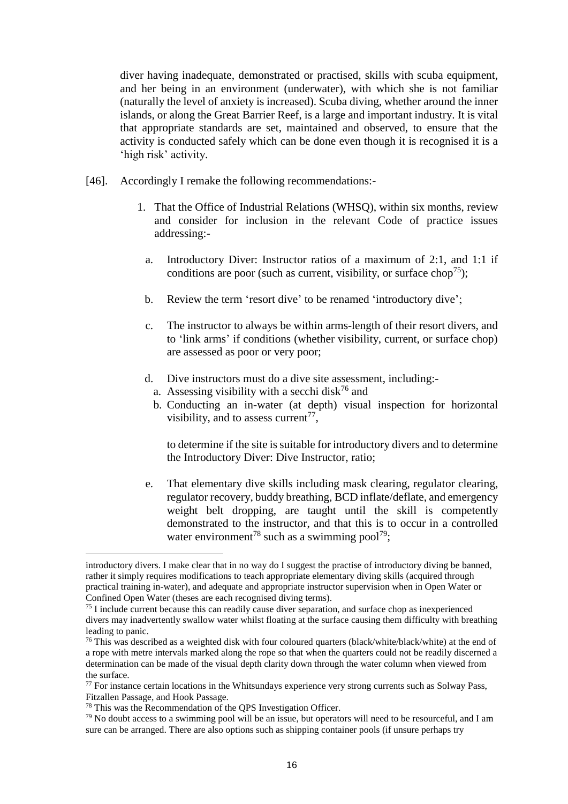diver having inadequate, demonstrated or practised, skills with scuba equipment, and her being in an environment (underwater), with which she is not familiar (naturally the level of anxiety is increased). Scuba diving, whether around the inner islands, or along the Great Barrier Reef, is a large and important industry. It is vital that appropriate standards are set, maintained and observed, to ensure that the activity is conducted safely which can be done even though it is recognised it is a 'high risk' activity.

- [46]. Accordingly I remake the following recommendations:-
	- 1. That the Office of Industrial Relations (WHSQ), within six months, review and consider for inclusion in the relevant Code of practice issues addressing:
		- a. Introductory Diver: Instructor ratios of a maximum of 2:1, and 1:1 if conditions are poor (such as current, visibility, or surface chop<sup>75</sup>);
		- b. Review the term 'resort dive' to be renamed 'introductory dive';
		- c. The instructor to always be within arms-length of their resort divers, and to 'link arms' if conditions (whether visibility, current, or surface chop) are assessed as poor or very poor;
		- d. Dive instructors must do a dive site assessment, including:
			- a. Assessing visibility with a secchi disk<sup>76</sup> and
			- b. Conducting an in-water (at depth) visual inspection for horizontal visibility, and to assess current<sup>77</sup>,

to determine if the site is suitable for introductory divers and to determine the Introductory Diver: Dive Instructor, ratio;

e. That elementary dive skills including mask clearing, regulator clearing, regulator recovery, buddy breathing, BCD inflate/deflate, and emergency weight belt dropping, are taught until the skill is competently demonstrated to the instructor, and that this is to occur in a controlled water environment<sup>78</sup> such as a swimming pool<sup>79</sup>;

<sup>78</sup> This was the Recommendation of the QPS Investigation Officer.

introductory divers. I make clear that in no way do I suggest the practise of introductory diving be banned, rather it simply requires modifications to teach appropriate elementary diving skills (acquired through practical training in-water), and adequate and appropriate instructor supervision when in Open Water or Confined Open Water (theses are each recognised diving terms).

<sup>75</sup> I include current because this can readily cause diver separation, and surface chop as inexperienced divers may inadvertently swallow water whilst floating at the surface causing them difficulty with breathing leading to panic.

<sup>&</sup>lt;sup>76</sup> This was described as a weighted disk with four coloured quarters (black/white/black/white) at the end of a rope with metre intervals marked along the rope so that when the quarters could not be readily discerned a determination can be made of the visual depth clarity down through the water column when viewed from the surface.

 $77$  For instance certain locations in the Whitsundays experience very strong currents such as Solway Pass, Fitzallen Passage, and Hook Passage.

 $79$  No doubt access to a swimming pool will be an issue, but operators will need to be resourceful, and I am sure can be arranged. There are also options such as shipping container pools (if unsure perhaps try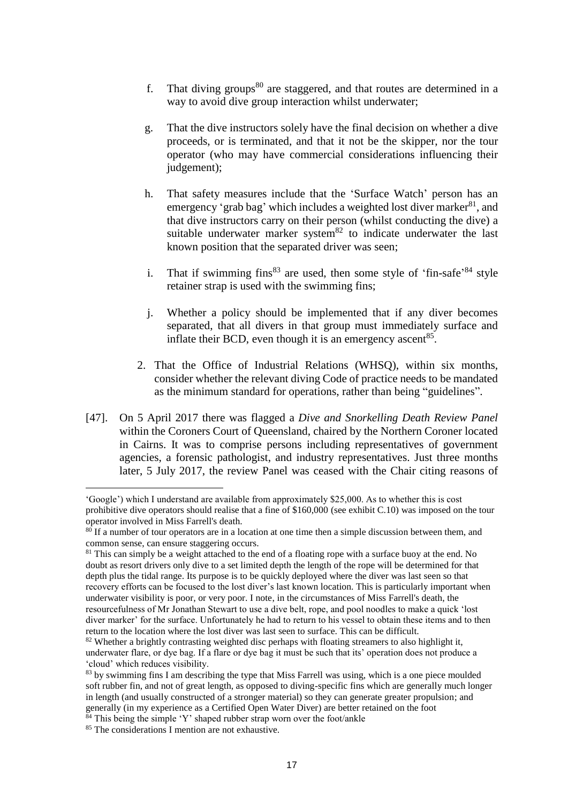- f. That diving groups $80$  are staggered, and that routes are determined in a way to avoid dive group interaction whilst underwater:
- g. That the dive instructors solely have the final decision on whether a dive proceeds, or is terminated, and that it not be the skipper, nor the tour operator (who may have commercial considerations influencing their judgement);
- h. That safety measures include that the 'Surface Watch' person has an emergency 'grab bag' which includes a weighted lost diver marker  $81$ , and that dive instructors carry on their person (whilst conducting the dive) a suitable underwater marker system $82$  to indicate underwater the last known position that the separated driver was seen;
- i. That if swimming  $fins<sup>83</sup>$  are used, then some style of 'fin-safe'<sup>84</sup> style retainer strap is used with the swimming fins;
- j. Whether a policy should be implemented that if any diver becomes separated, that all divers in that group must immediately surface and inflate their BCD, even though it is an emergency ascent $85$ .
- 2. That the Office of Industrial Relations (WHSQ), within six months, consider whether the relevant diving Code of practice needs to be mandated as the minimum standard for operations, rather than being "guidelines".
- [47]. On 5 April 2017 there was flagged a *Dive and Snorkelling Death Review Panel* within the Coroners Court of Queensland, chaired by the Northern Coroner located in Cairns. It was to comprise persons including representatives of government agencies, a forensic pathologist, and industry representatives. Just three months later, 5 July 2017, the review Panel was ceased with the Chair citing reasons of

<sup>&#</sup>x27;Google') which I understand are available from approximately \$25,000. As to whether this is cost prohibitive dive operators should realise that a fine of \$160,000 (see exhibit C.10) was imposed on the tour operator involved in Miss Farrell's death.

 $80$  If a number of tour operators are in a location at one time then a simple discussion between them, and common sense, can ensure staggering occurs.

<sup>&</sup>lt;sup>81</sup> This can simply be a weight attached to the end of a floating rope with a surface buoy at the end. No doubt as resort drivers only dive to a set limited depth the length of the rope will be determined for that depth plus the tidal range. Its purpose is to be quickly deployed where the diver was last seen so that recovery efforts can be focused to the lost diver's last known location. This is particularly important when underwater visibility is poor, or very poor. I note, in the circumstances of Miss Farrell's death, the resourcefulness of Mr Jonathan Stewart to use a dive belt, rope, and pool noodles to make a quick 'lost diver marker' for the surface. Unfortunately he had to return to his vessel to obtain these items and to then return to the location where the lost diver was last seen to surface. This can be difficult.

<sup>&</sup>lt;sup>82</sup> Whether a brightly contrasting weighted disc perhaps with floating streamers to also highlight it, underwater flare, or dye bag. If a flare or dye bag it must be such that its' operation does not produce a 'cloud' which reduces visibility.

<sup>&</sup>lt;sup>83</sup> by swimming fins I am describing the type that Miss Farrell was using, which is a one piece moulded soft rubber fin, and not of great length, as opposed to diving-specific fins which are generally much longer in length (and usually constructed of a stronger material) so they can generate greater propulsion; and generally (in my experience as a Certified Open Water Diver) are better retained on the foot

 $84$  This being the simple 'Y' shaped rubber strap worn over the foot/ankle

<sup>&</sup>lt;sup>85</sup> The considerations I mention are not exhaustive.